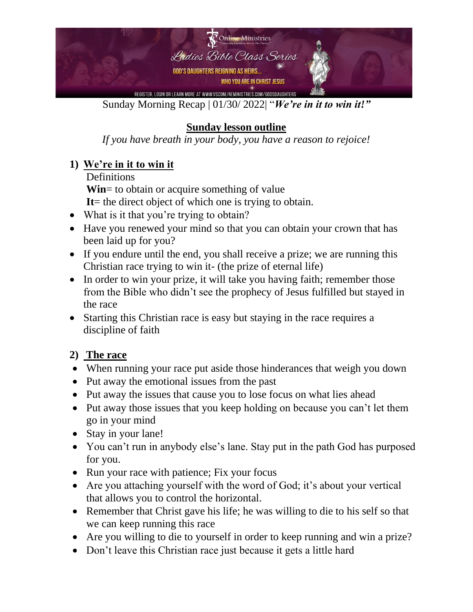

#### Sunday Morning Recap | 01/30/ 2022| "*We're in it to win it!"*

## **Sunday lesson outline**

*If you have breath in your body, you have a reason to rejoice!* 

### **1) We're in it to win it**

**Definitions** 

**Win**= to obtain or acquire something of value

It = the direct object of which one is trying to obtain.

- What is it that you're trying to obtain?
- Have you renewed your mind so that you can obtain your crown that has been laid up for you?
- If you endure until the end, you shall receive a prize; we are running this Christian race trying to win it- (the prize of eternal life)
- In order to win your prize, it will take you having faith; remember those from the Bible who didn't see the prophecy of Jesus fulfilled but stayed in the race
- Starting this Christian race is easy but staying in the race requires a discipline of faith

#### **2) The race**

- When running your race put aside those hinderances that weigh you down
- Put away the emotional issues from the past
- Put away the issues that cause you to lose focus on what lies ahead
- Put away those issues that you keep holding on because you can't let them go in your mind
- Stay in your lane!
- You can't run in anybody else's lane. Stay put in the path God has purposed for you.
- Run your race with patience; Fix your focus
- Are you attaching yourself with the word of God; it's about your vertical that allows you to control the horizontal.
- Remember that Christ gave his life; he was willing to die to his self so that we can keep running this race
- Are you willing to die to yourself in order to keep running and win a prize?
- Don't leave this Christian race just because it gets a little hard